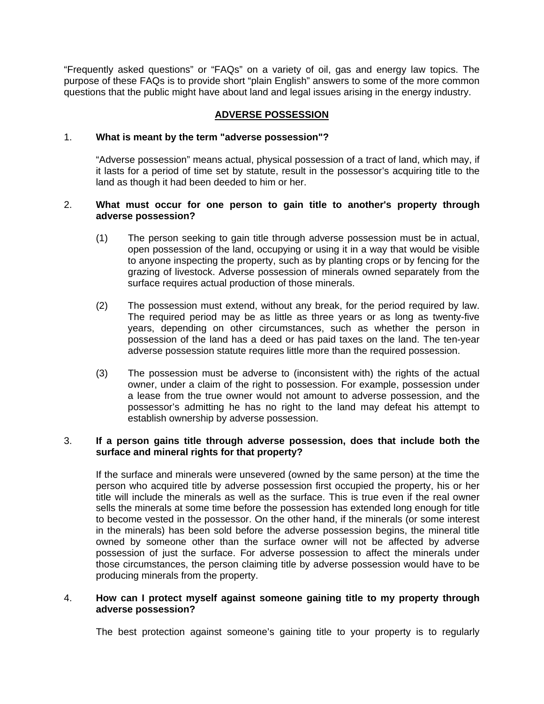"Frequently asked questions" or "FAQs" on a variety of oil, gas and energy law topics. The purpose of these FAQs is to provide short "plain English" answers to some of the more common questions that the public might have about land and legal issues arising in the energy industry.

# **ADVERSE POSSESSION**

### 1. **What is meant by the term "adverse possession"?**

"Adverse possession" means actual, physical possession of a tract of land, which may, if it lasts for a period of time set by statute, result in the possessor's acquiring title to the land as though it had been deeded to him or her.

### 2. **What must occur for one person to gain title to another's property through adverse possession?**

- (1) The person seeking to gain title through adverse possession must be in actual, open possession of the land, occupying or using it in a way that would be visible to anyone inspecting the property, such as by planting crops or by fencing for the grazing of livestock. Adverse possession of minerals owned separately from the surface requires actual production of those minerals.
- (2) The possession must extend, without any break, for the period required by law. The required period may be as little as three years or as long as twenty-five years, depending on other circumstances, such as whether the person in possession of the land has a deed or has paid taxes on the land. The ten-year adverse possession statute requires little more than the required possession.
- (3) The possession must be adverse to (inconsistent with) the rights of the actual owner, under a claim of the right to possession. For example, possession under a lease from the true owner would not amount to adverse possession, and the possessor's admitting he has no right to the land may defeat his attempt to establish ownership by adverse possession.

## 3. **If a person gains title through adverse possession, does that include both the surface and mineral rights for that property?**

 If the surface and minerals were unsevered (owned by the same person) at the time the person who acquired title by adverse possession first occupied the property, his or her title will include the minerals as well as the surface. This is true even if the real owner sells the minerals at some time before the possession has extended long enough for title to become vested in the possessor. On the other hand, if the minerals (or some interest in the minerals) has been sold before the adverse possession begins, the mineral title owned by someone other than the surface owner will not be affected by adverse possession of just the surface. For adverse possession to affect the minerals under those circumstances, the person claiming title by adverse possession would have to be producing minerals from the property.

#### 4. **How can I protect myself against someone gaining title to my property through adverse possession?**

The best protection against someone's gaining title to your property is to regularly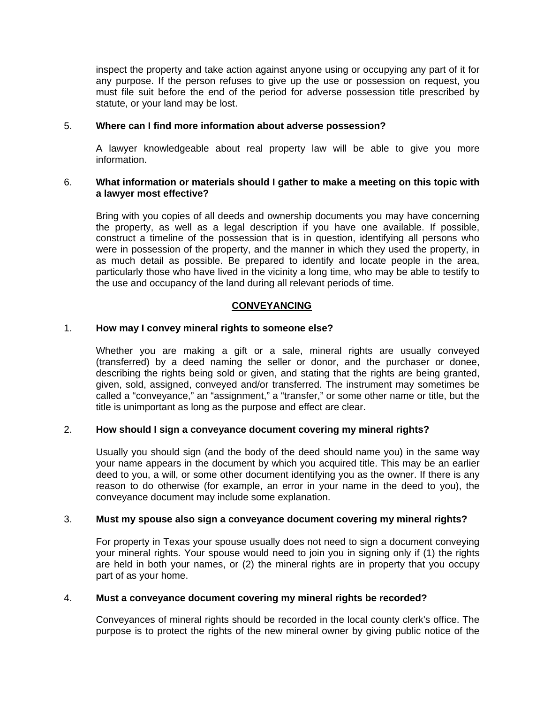inspect the property and take action against anyone using or occupying any part of it for any purpose. If the person refuses to give up the use or possession on request, you must file suit before the end of the period for adverse possession title prescribed by statute, or your land may be lost.

### 5. **Where can I find more information about adverse possession?**

 A lawyer knowledgeable about real property law will be able to give you more information.

## 6. **What information or materials should I gather to make a meeting on this topic with a lawyer most effective?**

 Bring with you copies of all deeds and ownership documents you may have concerning the property, as well as a legal description if you have one available. If possible, construct a timeline of the possession that is in question, identifying all persons who were in possession of the property, and the manner in which they used the property, in as much detail as possible. Be prepared to identify and locate people in the area, particularly those who have lived in the vicinity a long time, who may be able to testify to the use and occupancy of the land during all relevant periods of time.

## **CONVEYANCING**

## 1. **How may I convey mineral rights to someone else?**

 Whether you are making a gift or a sale, mineral rights are usually conveyed (transferred) by a deed naming the seller or donor, and the purchaser or donee, describing the rights being sold or given, and stating that the rights are being granted, given, sold, assigned, conveyed and/or transferred. The instrument may sometimes be called a "conveyance," an "assignment," a "transfer," or some other name or title, but the title is unimportant as long as the purpose and effect are clear.

#### 2. **How should I sign a conveyance document covering my mineral rights?**

 Usually you should sign (and the body of the deed should name you) in the same way your name appears in the document by which you acquired title. This may be an earlier deed to you, a will, or some other document identifying you as the owner. If there is any reason to do otherwise (for example, an error in your name in the deed to you), the conveyance document may include some explanation.

#### 3. **Must my spouse also sign a conveyance document covering my mineral rights?**

 For property in Texas your spouse usually does not need to sign a document conveying your mineral rights. Your spouse would need to join you in signing only if (1) the rights are held in both your names, or (2) the mineral rights are in property that you occupy part of as your home.

#### 4. **Must a conveyance document covering my mineral rights be recorded?**

 Conveyances of mineral rights should be recorded in the local county clerk's office. The purpose is to protect the rights of the new mineral owner by giving public notice of the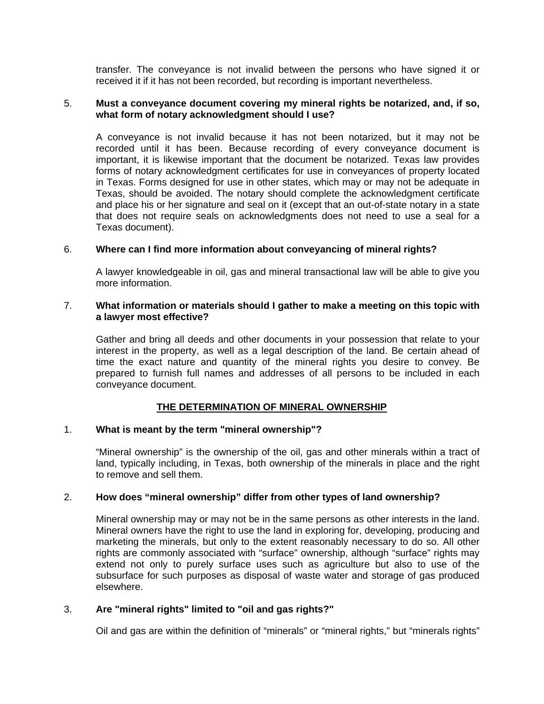transfer. The conveyance is not invalid between the persons who have signed it or received it if it has not been recorded, but recording is important nevertheless.

#### 5. **Must a conveyance document covering my mineral rights be notarized, and, if so, what form of notary acknowledgment should I use?**

 A conveyance is not invalid because it has not been notarized, but it may not be recorded until it has been. Because recording of every conveyance document is important, it is likewise important that the document be notarized. Texas law provides forms of notary acknowledgment certificates for use in conveyances of property located in Texas. Forms designed for use in other states, which may or may not be adequate in Texas, should be avoided. The notary should complete the acknowledgment certificate and place his or her signature and seal on it (except that an out-of-state notary in a state that does not require seals on acknowledgments does not need to use a seal for a Texas document).

## 6. **Where can I find more information about conveyancing of mineral rights?**

 A lawyer knowledgeable in oil, gas and mineral transactional law will be able to give you more information.

### 7. **What information or materials should I gather to make a meeting on this topic with a lawyer most effective?**

 Gather and bring all deeds and other documents in your possession that relate to your interest in the property, as well as a legal description of the land. Be certain ahead of time the exact nature and quantity of the mineral rights you desire to convey. Be prepared to furnish full names and addresses of all persons to be included in each conveyance document.

# **THE DETERMINATION OF MINERAL OWNERSHIP**

#### 1. **What is meant by the term "mineral ownership"?**

 "Mineral ownership" is the ownership of the oil, gas and other minerals within a tract of land, typically including, in Texas, both ownership of the minerals in place and the right to remove and sell them.

#### 2. **How does "mineral ownership" differ from other types of land ownership?**

 Mineral ownership may or may not be in the same persons as other interests in the land. Mineral owners have the right to use the land in exploring for, developing, producing and marketing the minerals, but only to the extent reasonably necessary to do so. All other rights are commonly associated with "surface" ownership, although "surface" rights may extend not only to purely surface uses such as agriculture but also to use of the subsurface for such purposes as disposal of waste water and storage of gas produced elsewhere.

#### 3. **Are "mineral rights" limited to "oil and gas rights?"**

Oil and gas are within the definition of "minerals" or "mineral rights," but "minerals rights"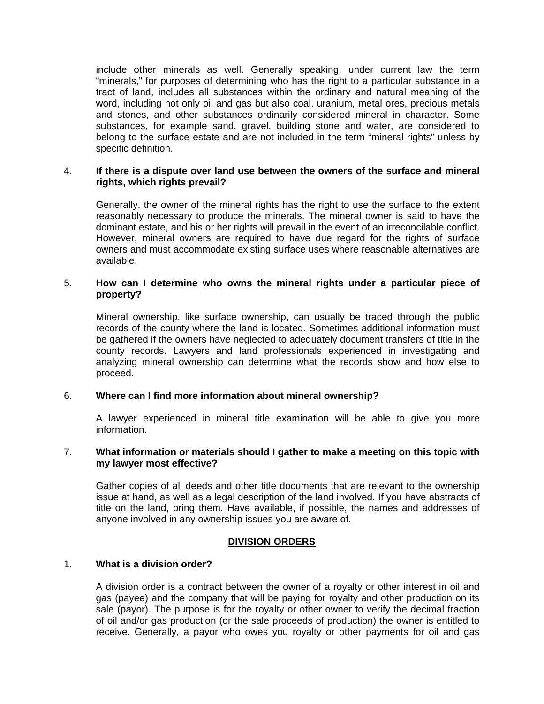include other minerals as well. Generally speaking, under current law the term "minerals," for purposes of determining who has the right to a particular substance in a tract of land, includes all substances within the ordinary and natural meaning of the word, including not only oil and gas but also coal, uranium, metal ores, precious metals and stones, and other substances ordinarily considered mineral in character. Some substances, for example sand, gravel, building stone and water, are considered to belong to the surface estate and are not included in the term "mineral rights" unless by specific definition.

#### 4. **If there is a dispute over land use between the owners of the surface and mineral rights, which rights prevail?**

 Generally, the owner of the mineral rights has the right to use the surface to the extent reasonably necessary to produce the minerals. The mineral owner is said to have the dominant estate, and his or her rights will prevail in the event of an irreconcilable conflict. However, mineral owners are required to have due regard for the rights of surface owners and must accommodate existing surface uses where reasonable alternatives are available.

## 5. **How can I determine who owns the mineral rights under a particular piece of property?**

 Mineral ownership, like surface ownership, can usually be traced through the public records of the county where the land is located. Sometimes additional information must be gathered if the owners have neglected to adequately document transfers of title in the county records. Lawyers and land professionals experienced in investigating and analyzing mineral ownership can determine what the records show and how else to proceed.

# 6. **Where can I find more information about mineral ownership?**

 A lawyer experienced in mineral title examination will be able to give you more information.

#### 7. **What information or materials should I gather to make a meeting on this topic with my lawyer most effective?**

 Gather copies of all deeds and other title documents that are relevant to the ownership issue at hand, as well as a legal description of the land involved. If you have abstracts of title on the land, bring them. Have available, if possible, the names and addresses of anyone involved in any ownership issues you are aware of.

#### **DIVISION ORDERS**

#### 1. **What is a division order?**

 A division order is a contract between the owner of a royalty or other interest in oil and gas (payee) and the company that will be paying for royalty and other production on its sale (payor). The purpose is for the royalty or other owner to verify the decimal fraction of oil and/or gas production (or the sale proceeds of production) the owner is entitled to receive. Generally, a payor who owes you royalty or other payments for oil and gas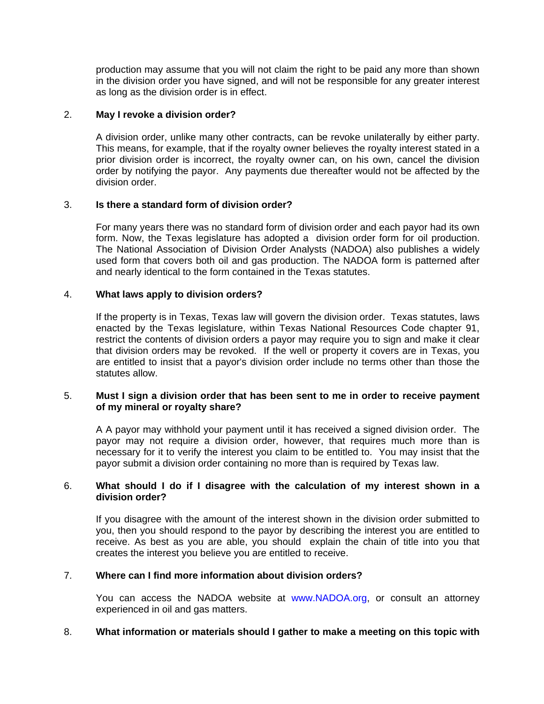production may assume that you will not claim the right to be paid any more than shown in the division order you have signed, and will not be responsible for any greater interest as long as the division order is in effect.

## 2. **May I revoke a division order?**

 A division order, unlike many other contracts, can be revoke unilaterally by either party. This means, for example, that if the royalty owner believes the royalty interest stated in a prior division order is incorrect, the royalty owner can, on his own, cancel the division order by notifying the payor. Any payments due thereafter would not be affected by the division order.

## 3. **Is there a standard form of division order?**

 For many years there was no standard form of division order and each payor had its own form. Now, the Texas legislature has adopted a division order form for oil production. The National Association of Division Order Analysts (NADOA) also publishes a widely used form that covers both oil and gas production. The NADOA form is patterned after and nearly identical to the form contained in the Texas statutes.

## 4. **What laws apply to division orders?**

 If the property is in Texas, Texas law will govern the division order. Texas statutes, laws enacted by the Texas legislature, within Texas National Resources Code chapter 91, restrict the contents of division orders a payor may require you to sign and make it clear that division orders may be revoked. If the well or property it covers are in Texas, you are entitled to insist that a payor's division order include no terms other than those the statutes allow.

#### 5. **Must I sign a division order that has been sent to me in order to receive payment of my mineral or royalty share?**

 A A payor may withhold your payment until it has received a signed division order. The payor may not require a division order, however, that requires much more than is necessary for it to verify the interest you claim to be entitled to. You may insist that the payor submit a division order containing no more than is required by Texas law.

## 6. **What should I do if I disagree with the calculation of my interest shown in a division order?**

 If you disagree with the amount of the interest shown in the division order submitted to you, then you should respond to the payor by describing the interest you are entitled to receive. As best as you are able, you should explain the chain of title into you that creates the interest you believe you are entitled to receive.

# 7. **Where can I find more information about division orders?**

 You can access the NADOA website at www.NADOA.org, or consult an attorney experienced in oil and gas matters.

#### 8. **What information or materials should I gather to make a meeting on this topic with**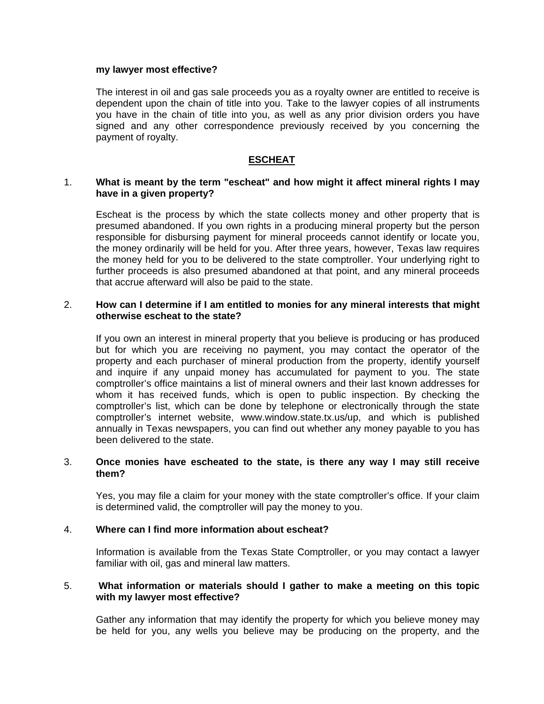#### **my lawyer most effective?**

 The interest in oil and gas sale proceeds you as a royalty owner are entitled to receive is dependent upon the chain of title into you. Take to the lawyer copies of all instruments you have in the chain of title into you, as well as any prior division orders you have signed and any other correspondence previously received by you concerning the payment of royalty.

### **ESCHEAT**

### 1. **What is meant by the term "escheat" and how might it affect mineral rights I may have in a given property?**

 Escheat is the process by which the state collects money and other property that is presumed abandoned. If you own rights in a producing mineral property but the person responsible for disbursing payment for mineral proceeds cannot identify or locate you, the money ordinarily will be held for you. After three years, however, Texas law requires the money held for you to be delivered to the state comptroller. Your underlying right to further proceeds is also presumed abandoned at that point, and any mineral proceeds that accrue afterward will also be paid to the state.

#### 2. **How can I determine if I am entitled to monies for any mineral interests that might otherwise escheat to the state?**

 If you own an interest in mineral property that you believe is producing or has produced but for which you are receiving no payment, you may contact the operator of the property and each purchaser of mineral production from the property, identify yourself and inquire if any unpaid money has accumulated for payment to you. The state comptroller's office maintains a list of mineral owners and their last known addresses for whom it has received funds, which is open to public inspection. By checking the comptroller's list, which can be done by telephone or electronically through the state comptroller's internet website, www.window.state.tx.us/up, and which is published annually in Texas newspapers, you can find out whether any money payable to you has been delivered to the state.

#### 3. **Once monies have escheated to the state, is there any way I may still receive them?**

 Yes, you may file a claim for your money with the state comptroller's office. If your claim is determined valid, the comptroller will pay the money to you.

# 4. **Where can I find more information about escheat?**

 Information is available from the Texas State Comptroller, or you may contact a lawyer familiar with oil, gas and mineral law matters.

#### 5. **What information or materials should I gather to make a meeting on this topic with my lawyer most effective?**

 Gather any information that may identify the property for which you believe money may be held for you, any wells you believe may be producing on the property, and the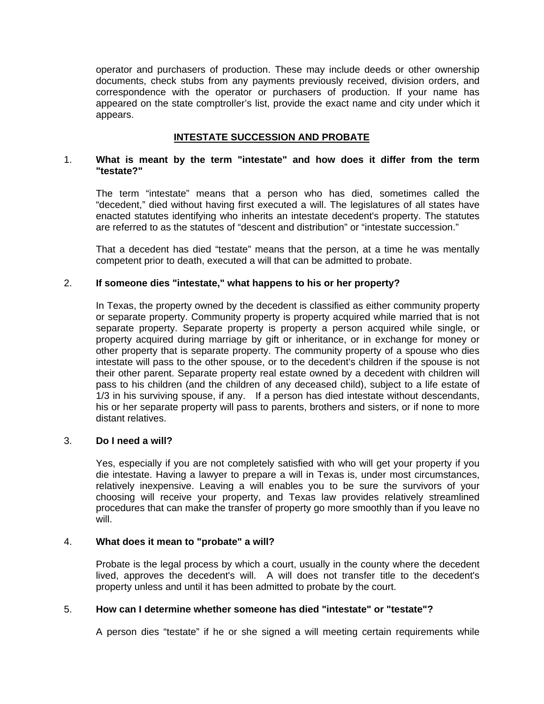operator and purchasers of production. These may include deeds or other ownership documents, check stubs from any payments previously received, division orders, and correspondence with the operator or purchasers of production. If your name has appeared on the state comptroller's list, provide the exact name and city under which it appears.

# **INTESTATE SUCCESSION AND PROBATE**

### 1. **What is meant by the term "intestate" and how does it differ from the term "testate?"**

 The term "intestate" means that a person who has died, sometimes called the "decedent," died without having first executed a will. The legislatures of all states have enacted statutes identifying who inherits an intestate decedent's property. The statutes are referred to as the statutes of "descent and distribution" or "intestate succession."

 That a decedent has died "testate" means that the person, at a time he was mentally competent prior to death, executed a will that can be admitted to probate.

## 2. **If someone dies "intestate," what happens to his or her property?**

 In Texas, the property owned by the decedent is classified as either community property or separate property. Community property is property acquired while married that is not separate property. Separate property is property a person acquired while single, or property acquired during marriage by gift or inheritance, or in exchange for money or other property that is separate property. The community property of a spouse who dies intestate will pass to the other spouse, or to the decedent's children if the spouse is not their other parent. Separate property real estate owned by a decedent with children will pass to his children (and the children of any deceased child), subject to a life estate of 1/3 in his surviving spouse, if any. If a person has died intestate without descendants, his or her separate property will pass to parents, brothers and sisters, or if none to more distant relatives.

### 3. **Do I need a will?**

 Yes, especially if you are not completely satisfied with who will get your property if you die intestate. Having a lawyer to prepare a will in Texas is, under most circumstances, relatively inexpensive. Leaving a will enables you to be sure the survivors of your choosing will receive your property, and Texas law provides relatively streamlined procedures that can make the transfer of property go more smoothly than if you leave no will.

#### 4. **What does it mean to "probate" a will?**

 Probate is the legal process by which a court, usually in the county where the decedent lived, approves the decedent's will. A will does not transfer title to the decedent's property unless and until it has been admitted to probate by the court.

#### 5. **How can I determine whether someone has died "intestate" or "testate"?**

A person dies "testate" if he or she signed a will meeting certain requirements while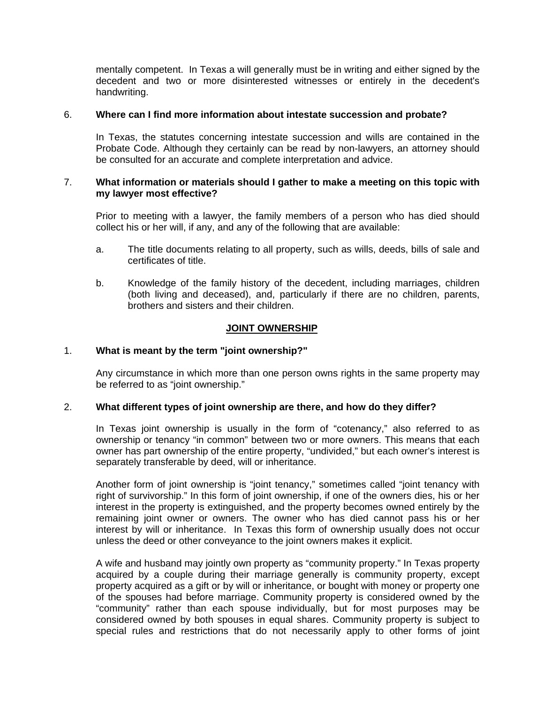mentally competent. In Texas a will generally must be in writing and either signed by the decedent and two or more disinterested witnesses or entirely in the decedent's handwriting.

### 6. **Where can I find more information about intestate succession and probate?**

 In Texas, the statutes concerning intestate succession and wills are contained in the Probate Code. Although they certainly can be read by non-lawyers, an attorney should be consulted for an accurate and complete interpretation and advice.

### 7. **What information or materials should I gather to make a meeting on this topic with my lawyer most effective?**

 Prior to meeting with a lawyer, the family members of a person who has died should collect his or her will, if any, and any of the following that are available:

- a. The title documents relating to all property, such as wills, deeds, bills of sale and certificates of title.
- b. Knowledge of the family history of the decedent, including marriages, children (both living and deceased), and, particularly if there are no children, parents, brothers and sisters and their children.

## **JOINT OWNERSHIP**

## 1. **What is meant by the term "joint ownership?"**

 Any circumstance in which more than one person owns rights in the same property may be referred to as "joint ownership."

#### 2. **What different types of joint ownership are there, and how do they differ?**

 In Texas joint ownership is usually in the form of "cotenancy," also referred to as ownership or tenancy "in common" between two or more owners. This means that each owner has part ownership of the entire property, "undivided," but each owner's interest is separately transferable by deed, will or inheritance.

 Another form of joint ownership is "joint tenancy," sometimes called "joint tenancy with right of survivorship." In this form of joint ownership, if one of the owners dies, his or her interest in the property is extinguished, and the property becomes owned entirely by the remaining joint owner or owners. The owner who has died cannot pass his or her interest by will or inheritance. In Texas this form of ownership usually does not occur unless the deed or other conveyance to the joint owners makes it explicit.

 A wife and husband may jointly own property as "community property." In Texas property acquired by a couple during their marriage generally is community property, except property acquired as a gift or by will or inheritance, or bought with money or property one of the spouses had before marriage. Community property is considered owned by the "community" rather than each spouse individually, but for most purposes may be considered owned by both spouses in equal shares. Community property is subject to special rules and restrictions that do not necessarily apply to other forms of joint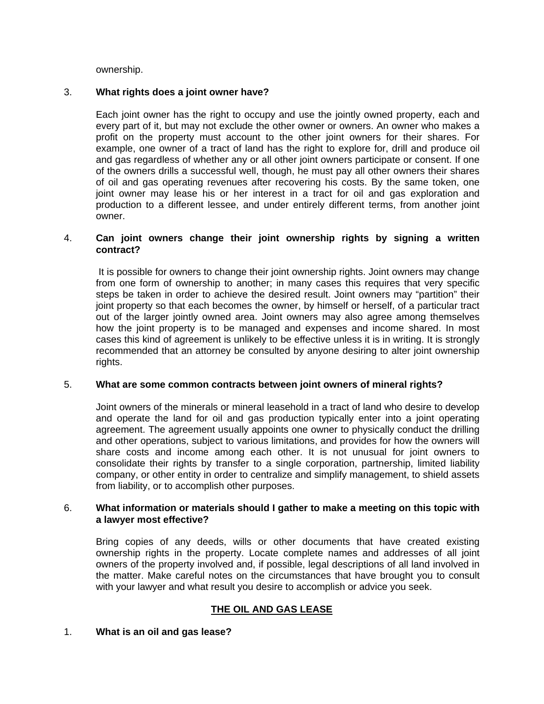ownership.

# 3. **What rights does a joint owner have?**

 Each joint owner has the right to occupy and use the jointly owned property, each and every part of it, but may not exclude the other owner or owners. An owner who makes a profit on the property must account to the other joint owners for their shares. For example, one owner of a tract of land has the right to explore for, drill and produce oil and gas regardless of whether any or all other joint owners participate or consent. If one of the owners drills a successful well, though, he must pay all other owners their shares of oil and gas operating revenues after recovering his costs. By the same token, one joint owner may lease his or her interest in a tract for oil and gas exploration and production to a different lessee, and under entirely different terms, from another joint owner.

# 4. **Can joint owners change their joint ownership rights by signing a written contract?**

 It is possible for owners to change their joint ownership rights. Joint owners may change from one form of ownership to another; in many cases this requires that very specific steps be taken in order to achieve the desired result. Joint owners may "partition" their joint property so that each becomes the owner, by himself or herself, of a particular tract out of the larger jointly owned area. Joint owners may also agree among themselves how the joint property is to be managed and expenses and income shared. In most cases this kind of agreement is unlikely to be effective unless it is in writing. It is strongly recommended that an attorney be consulted by anyone desiring to alter joint ownership rights.

#### 5. **What are some common contracts between joint owners of mineral rights?**

 Joint owners of the minerals or mineral leasehold in a tract of land who desire to develop and operate the land for oil and gas production typically enter into a joint operating agreement. The agreement usually appoints one owner to physically conduct the drilling and other operations, subject to various limitations, and provides for how the owners will share costs and income among each other. It is not unusual for joint owners to consolidate their rights by transfer to a single corporation, partnership, limited liability company, or other entity in order to centralize and simplify management, to shield assets from liability, or to accomplish other purposes.

## 6. **What information or materials should I gather to make a meeting on this topic with a lawyer most effective?**

 Bring copies of any deeds, wills or other documents that have created existing ownership rights in the property. Locate complete names and addresses of all joint owners of the property involved and, if possible, legal descriptions of all land involved in the matter. Make careful notes on the circumstances that have brought you to consult with your lawyer and what result you desire to accomplish or advice you seek.

# **THE OIL AND GAS LEASE**

#### 1. **What is an oil and gas lease?**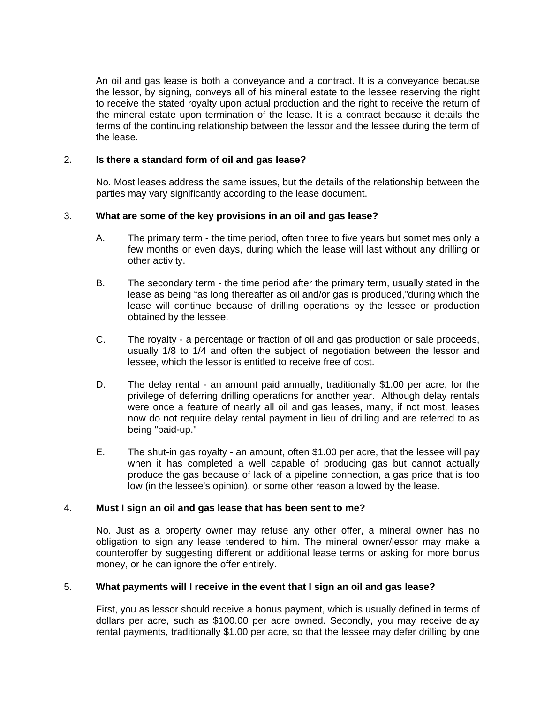An oil and gas lease is both a conveyance and a contract. It is a conveyance because the lessor, by signing, conveys all of his mineral estate to the lessee reserving the right to receive the stated royalty upon actual production and the right to receive the return of the mineral estate upon termination of the lease. It is a contract because it details the terms of the continuing relationship between the lessor and the lessee during the term of the lease.

## 2. **Is there a standard form of oil and gas lease?**

 No. Most leases address the same issues, but the details of the relationship between the parties may vary significantly according to the lease document.

## 3. **What are some of the key provisions in an oil and gas lease?**

- A. The primary term the time period, often three to five years but sometimes only a few months or even days, during which the lease will last without any drilling or other activity.
- B. The secondary term the time period after the primary term, usually stated in the lease as being "as long thereafter as oil and/or gas is produced,"during which the lease will continue because of drilling operations by the lessee or production obtained by the lessee.
- C. The royalty a percentage or fraction of oil and gas production or sale proceeds, usually 1/8 to 1/4 and often the subject of negotiation between the lessor and lessee, which the lessor is entitled to receive free of cost.
- D. The delay rental an amount paid annually, traditionally \$1.00 per acre, for the privilege of deferring drilling operations for another year. Although delay rentals were once a feature of nearly all oil and gas leases, many, if not most, leases now do not require delay rental payment in lieu of drilling and are referred to as being "paid-up."
- E. The shut-in gas royalty an amount, often \$1.00 per acre, that the lessee will pay when it has completed a well capable of producing gas but cannot actually produce the gas because of lack of a pipeline connection, a gas price that is too low (in the lessee's opinion), or some other reason allowed by the lease.

#### 4. **Must I sign an oil and gas lease that has been sent to me?**

 No. Just as a property owner may refuse any other offer, a mineral owner has no obligation to sign any lease tendered to him. The mineral owner/lessor may make a counteroffer by suggesting different or additional lease terms or asking for more bonus money, or he can ignore the offer entirely.

# 5. **What payments will I receive in the event that I sign an oil and gas lease?**

 First, you as lessor should receive a bonus payment, which is usually defined in terms of dollars per acre, such as \$100.00 per acre owned. Secondly, you may receive delay rental payments, traditionally \$1.00 per acre, so that the lessee may defer drilling by one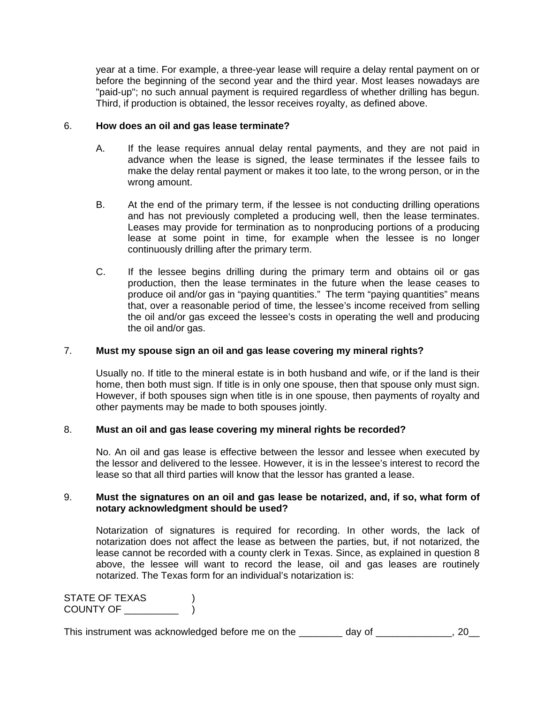year at a time. For example, a three-year lease will require a delay rental payment on or before the beginning of the second year and the third year. Most leases nowadays are "paid-up"; no such annual payment is required regardless of whether drilling has begun. Third, if production is obtained, the lessor receives royalty, as defined above.

#### 6. **How does an oil and gas lease terminate?**

- A. If the lease requires annual delay rental payments, and they are not paid in advance when the lease is signed, the lease terminates if the lessee fails to make the delay rental payment or makes it too late, to the wrong person, or in the wrong amount.
- B. At the end of the primary term, if the lessee is not conducting drilling operations and has not previously completed a producing well, then the lease terminates. Leases may provide for termination as to nonproducing portions of a producing lease at some point in time, for example when the lessee is no longer continuously drilling after the primary term.
- C. If the lessee begins drilling during the primary term and obtains oil or gas production, then the lease terminates in the future when the lease ceases to produce oil and/or gas in "paying quantities." The term "paying quantities" means that, over a reasonable period of time, the lessee's income received from selling the oil and/or gas exceed the lessee's costs in operating the well and producing the oil and/or gas.

# 7. **Must my spouse sign an oil and gas lease covering my mineral rights?**

 Usually no. If title to the mineral estate is in both husband and wife, or if the land is their home, then both must sign. If title is in only one spouse, then that spouse only must sign. However, if both spouses sign when title is in one spouse, then payments of royalty and other payments may be made to both spouses jointly.

# 8. **Must an oil and gas lease covering my mineral rights be recorded?**

 No. An oil and gas lease is effective between the lessor and lessee when executed by the lessor and delivered to the lessee. However, it is in the lessee's interest to record the lease so that all third parties will know that the lessor has granted a lease.

#### 9. **Must the signatures on an oil and gas lease be notarized, and, if so, what form of notary acknowledgment should be used?**

 Notarization of signatures is required for recording. In other words, the lack of notarization does not affect the lease as between the parties, but, if not notarized, the lease cannot be recorded with a county clerk in Texas. Since, as explained in question 8 above, the lessee will want to record the lease, oil and gas leases are routinely notarized. The Texas form for an individual's notarization is:

STATE OF TEXAS (1) COUNTY OF \_\_\_\_\_\_\_\_\_\_ )

This instrument was acknowledged before me on the \_\_\_\_\_\_\_\_ day of \_\_\_\_\_\_\_\_\_\_\_\_\_, 20\_